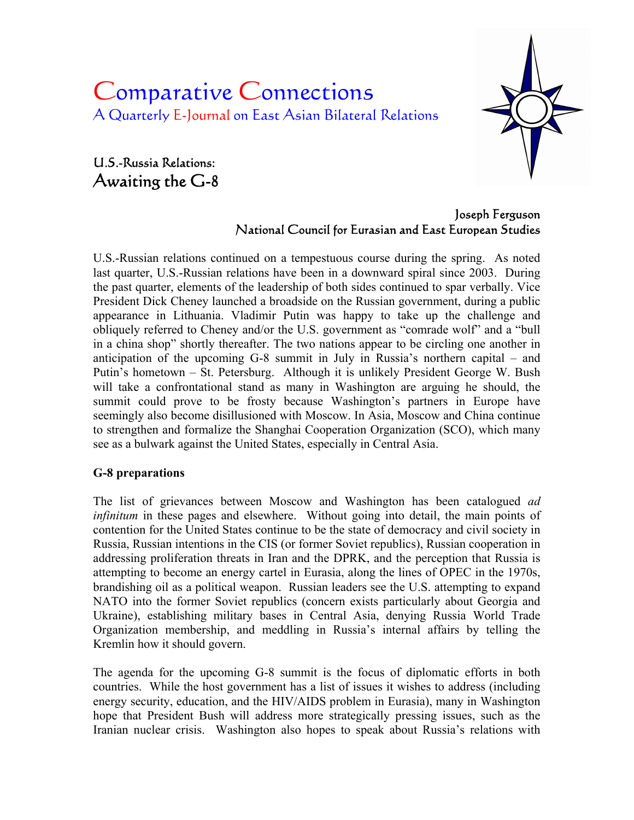# Comparative Connections A Quarterly E-Journal on East Asian Bilateral Relations

## U.S.-Russia Relations: Awaiting the G-8



#### Joseph Ferguson National Council for Eurasian and East European Studies

U.S.-Russian relations continued on a tempestuous course during the spring. As noted last quarter, U.S.-Russian relations have been in a downward spiral since 2003. During the past quarter, elements of the leadership of both sides continued to spar verbally. Vice President Dick Cheney launched a broadside on the Russian government, during a public appearance in Lithuania. Vladimir Putin was happy to take up the challenge and obliquely referred to Cheney and/or the U.S. government as "comrade wolf" and a "bull in a china shop" shortly thereafter. The two nations appear to be circling one another in anticipation of the upcoming G-8 summit in July in Russia's northern capital – and Putin's hometown – St. Petersburg. Although it is unlikely President George W. Bush will take a confrontational stand as many in Washington are arguing he should, the summit could prove to be frosty because Washington's partners in Europe have seemingly also become disillusioned with Moscow. In Asia, Moscow and China continue to strengthen and formalize the Shanghai Cooperation Organization (SCO), which many see as a bulwark against the United States, especially in Central Asia.

#### **G-8 preparations**

The list of grievances between Moscow and Washington has been catalogued *ad infinitum* in these pages and elsewhere. Without going into detail, the main points of contention for the United States continue to be the state of democracy and civil society in Russia, Russian intentions in the CIS (or former Soviet republics), Russian cooperation in addressing proliferation threats in Iran and the DPRK, and the perception that Russia is attempting to become an energy cartel in Eurasia, along the lines of OPEC in the 1970s, brandishing oil as a political weapon. Russian leaders see the U.S. attempting to expand NATO into the former Soviet republics (concern exists particularly about Georgia and Ukraine), establishing military bases in Central Asia, denying Russia World Trade Organization membership, and meddling in Russia's internal affairs by telling the Kremlin how it should govern.

The agenda for the upcoming G-8 summit is the focus of diplomatic efforts in both countries. While the host government has a list of issues it wishes to address (including energy security, education, and the HIV/AIDS problem in Eurasia), many in Washington hope that President Bush will address more strategically pressing issues, such as the Iranian nuclear crisis. Washington also hopes to speak about Russia's relations with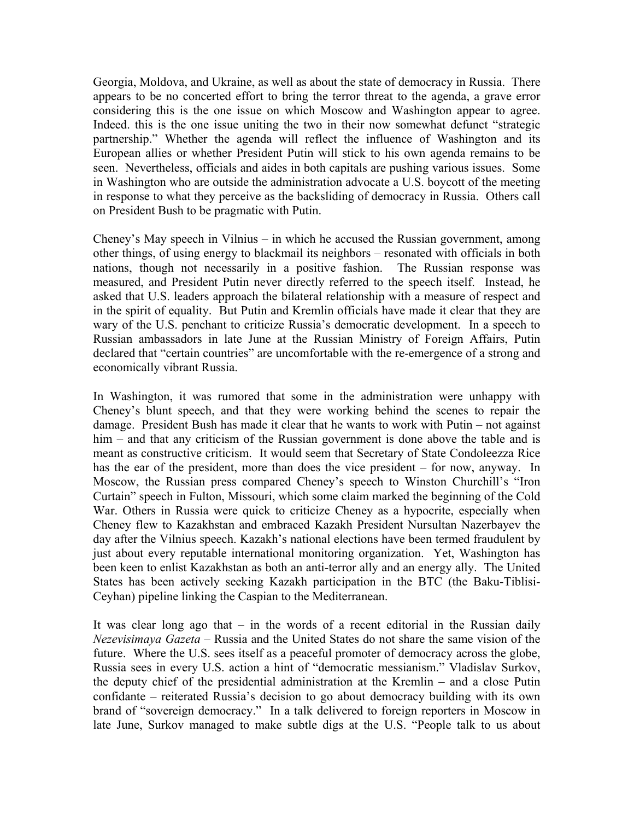Georgia, Moldova, and Ukraine, as well as about the state of democracy in Russia. There appears to be no concerted effort to bring the terror threat to the agenda, a grave error considering this is the one issue on which Moscow and Washington appear to agree. Indeed. this is the one issue uniting the two in their now somewhat defunct "strategic partnership." Whether the agenda will reflect the influence of Washington and its European allies or whether President Putin will stick to his own agenda remains to be seen. Nevertheless, officials and aides in both capitals are pushing various issues. Some in Washington who are outside the administration advocate a U.S. boycott of the meeting in response to what they perceive as the backsliding of democracy in Russia. Others call on President Bush to be pragmatic with Putin.

Cheney's May speech in Vilnius – in which he accused the Russian government, among other things, of using energy to blackmail its neighbors – resonated with officials in both nations, though not necessarily in a positive fashion. The Russian response was measured, and President Putin never directly referred to the speech itself. Instead, he asked that U.S. leaders approach the bilateral relationship with a measure of respect and in the spirit of equality. But Putin and Kremlin officials have made it clear that they are wary of the U.S. penchant to criticize Russia's democratic development. In a speech to Russian ambassadors in late June at the Russian Ministry of Foreign Affairs, Putin declared that "certain countries" are uncomfortable with the re-emergence of a strong and economically vibrant Russia.

In Washington, it was rumored that some in the administration were unhappy with Cheney's blunt speech, and that they were working behind the scenes to repair the damage. President Bush has made it clear that he wants to work with Putin – not against him – and that any criticism of the Russian government is done above the table and is meant as constructive criticism. It would seem that Secretary of State Condoleezza Rice has the ear of the president, more than does the vice president – for now, anyway. In Moscow, the Russian press compared Cheney's speech to Winston Churchill's "Iron Curtain" speech in Fulton, Missouri, which some claim marked the beginning of the Cold War. Others in Russia were quick to criticize Cheney as a hypocrite, especially when Cheney flew to Kazakhstan and embraced Kazakh President Nursultan Nazerbayev the day after the Vilnius speech. Kazakh's national elections have been termed fraudulent by just about every reputable international monitoring organization. Yet, Washington has been keen to enlist Kazakhstan as both an anti-terror ally and an energy ally. The United States has been actively seeking Kazakh participation in the BTC (the Baku-Tiblisi-Ceyhan) pipeline linking the Caspian to the Mediterranean.

It was clear long ago that – in the words of a recent editorial in the Russian daily *Nezevisimaya Gazeta* – Russia and the United States do not share the same vision of the future. Where the U.S. sees itself as a peaceful promoter of democracy across the globe, Russia sees in every U.S. action a hint of "democratic messianism." Vladislav Surkov, the deputy chief of the presidential administration at the Kremlin – and a close Putin confidante – reiterated Russia's decision to go about democracy building with its own brand of "sovereign democracy." In a talk delivered to foreign reporters in Moscow in late June, Surkov managed to make subtle digs at the U.S. "People talk to us about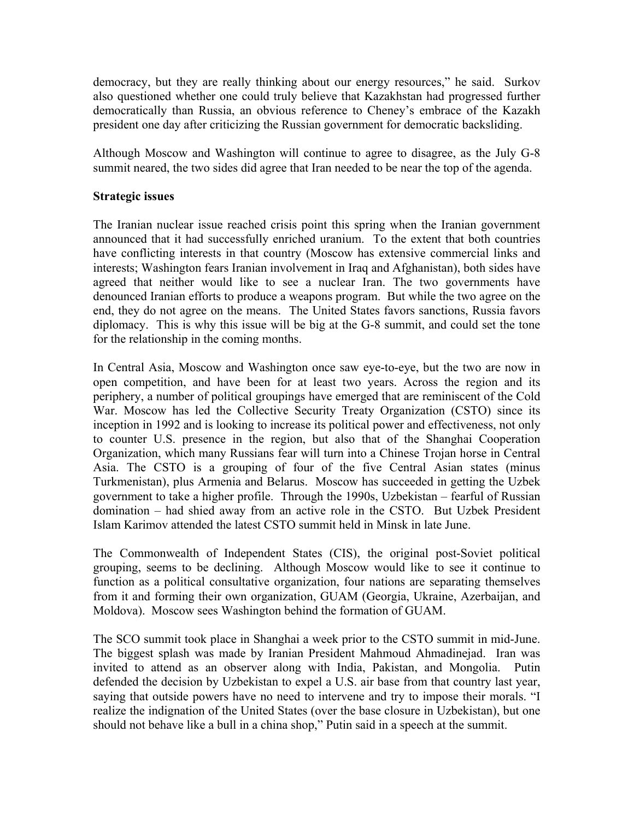democracy, but they are really thinking about our energy resources," he said. Surkov also questioned whether one could truly believe that Kazakhstan had progressed further democratically than Russia, an obvious reference to Cheney's embrace of the Kazakh president one day after criticizing the Russian government for democratic backsliding.

Although Moscow and Washington will continue to agree to disagree, as the July G-8 summit neared, the two sides did agree that Iran needed to be near the top of the agenda.

#### **Strategic issues**

The Iranian nuclear issue reached crisis point this spring when the Iranian government announced that it had successfully enriched uranium. To the extent that both countries have conflicting interests in that country (Moscow has extensive commercial links and interests; Washington fears Iranian involvement in Iraq and Afghanistan), both sides have agreed that neither would like to see a nuclear Iran. The two governments have denounced Iranian efforts to produce a weapons program. But while the two agree on the end, they do not agree on the means. The United States favors sanctions, Russia favors diplomacy. This is why this issue will be big at the G-8 summit, and could set the tone for the relationship in the coming months.

In Central Asia, Moscow and Washington once saw eye-to-eye, but the two are now in open competition, and have been for at least two years. Across the region and its periphery, a number of political groupings have emerged that are reminiscent of the Cold War. Moscow has led the Collective Security Treaty Organization (CSTO) since its inception in 1992 and is looking to increase its political power and effectiveness, not only to counter U.S. presence in the region, but also that of the Shanghai Cooperation Organization, which many Russians fear will turn into a Chinese Trojan horse in Central Asia. The CSTO is a grouping of four of the five Central Asian states (minus Turkmenistan), plus Armenia and Belarus. Moscow has succeeded in getting the Uzbek government to take a higher profile. Through the 1990s, Uzbekistan – fearful of Russian domination – had shied away from an active role in the CSTO. But Uzbek President Islam Karimov attended the latest CSTO summit held in Minsk in late June.

The Commonwealth of Independent States (CIS), the original post-Soviet political grouping, seems to be declining. Although Moscow would like to see it continue to function as a political consultative organization, four nations are separating themselves from it and forming their own organization, GUAM (Georgia, Ukraine, Azerbaijan, and Moldova). Moscow sees Washington behind the formation of GUAM.

The SCO summit took place in Shanghai a week prior to the CSTO summit in mid-June. The biggest splash was made by Iranian President Mahmoud Ahmadinejad. Iran was invited to attend as an observer along with India, Pakistan, and Mongolia. Putin defended the decision by Uzbekistan to expel a U.S. air base from that country last year, saying that outside powers have no need to intervene and try to impose their morals. "I realize the indignation of the United States (over the base closure in Uzbekistan), but one should not behave like a bull in a china shop," Putin said in a speech at the summit.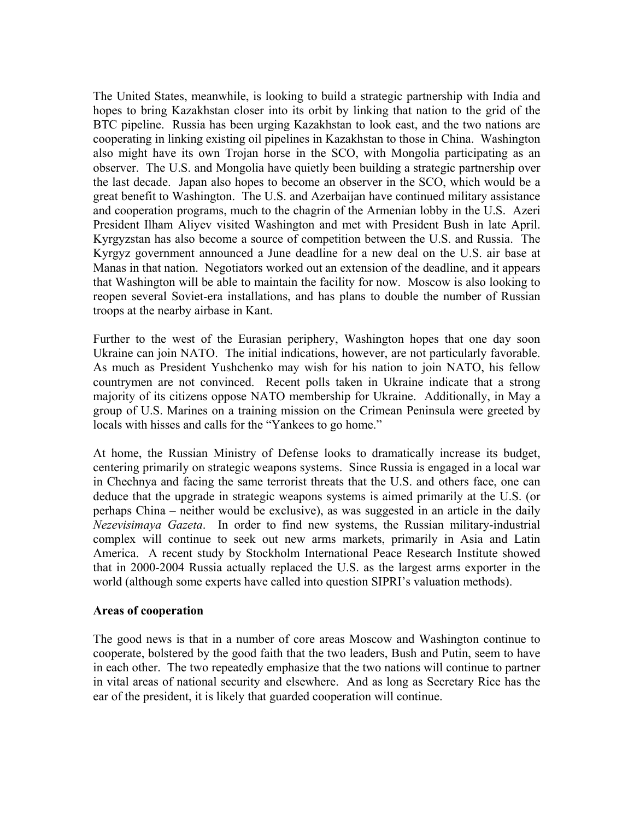The United States, meanwhile, is looking to build a strategic partnership with India and hopes to bring Kazakhstan closer into its orbit by linking that nation to the grid of the BTC pipeline. Russia has been urging Kazakhstan to look east, and the two nations are cooperating in linking existing oil pipelines in Kazakhstan to those in China. Washington also might have its own Trojan horse in the SCO, with Mongolia participating as an observer. The U.S. and Mongolia have quietly been building a strategic partnership over the last decade. Japan also hopes to become an observer in the SCO, which would be a great benefit to Washington. The U.S. and Azerbaijan have continued military assistance and cooperation programs, much to the chagrin of the Armenian lobby in the U.S. Azeri President Ilham Aliyev visited Washington and met with President Bush in late April. Kyrgyzstan has also become a source of competition between the U.S. and Russia. The Kyrgyz government announced a June deadline for a new deal on the U.S. air base at Manas in that nation. Negotiators worked out an extension of the deadline, and it appears that Washington will be able to maintain the facility for now. Moscow is also looking to reopen several Soviet-era installations, and has plans to double the number of Russian troops at the nearby airbase in Kant.

Further to the west of the Eurasian periphery, Washington hopes that one day soon Ukraine can join NATO. The initial indications, however, are not particularly favorable. As much as President Yushchenko may wish for his nation to join NATO, his fellow countrymen are not convinced. Recent polls taken in Ukraine indicate that a strong majority of its citizens oppose NATO membership for Ukraine. Additionally, in May a group of U.S. Marines on a training mission on the Crimean Peninsula were greeted by locals with hisses and calls for the "Yankees to go home."

At home, the Russian Ministry of Defense looks to dramatically increase its budget, centering primarily on strategic weapons systems. Since Russia is engaged in a local war in Chechnya and facing the same terrorist threats that the U.S. and others face, one can deduce that the upgrade in strategic weapons systems is aimed primarily at the U.S. (or perhaps China – neither would be exclusive), as was suggested in an article in the daily *Nezevisimaya Gazeta*. In order to find new systems, the Russian military-industrial complex will continue to seek out new arms markets, primarily in Asia and Latin America. A recent study by Stockholm International Peace Research Institute showed that in 2000-2004 Russia actually replaced the U.S. as the largest arms exporter in the world (although some experts have called into question SIPRI's valuation methods).

#### **Areas of cooperation**

The good news is that in a number of core areas Moscow and Washington continue to cooperate, bolstered by the good faith that the two leaders, Bush and Putin, seem to have in each other. The two repeatedly emphasize that the two nations will continue to partner in vital areas of national security and elsewhere. And as long as Secretary Rice has the ear of the president, it is likely that guarded cooperation will continue.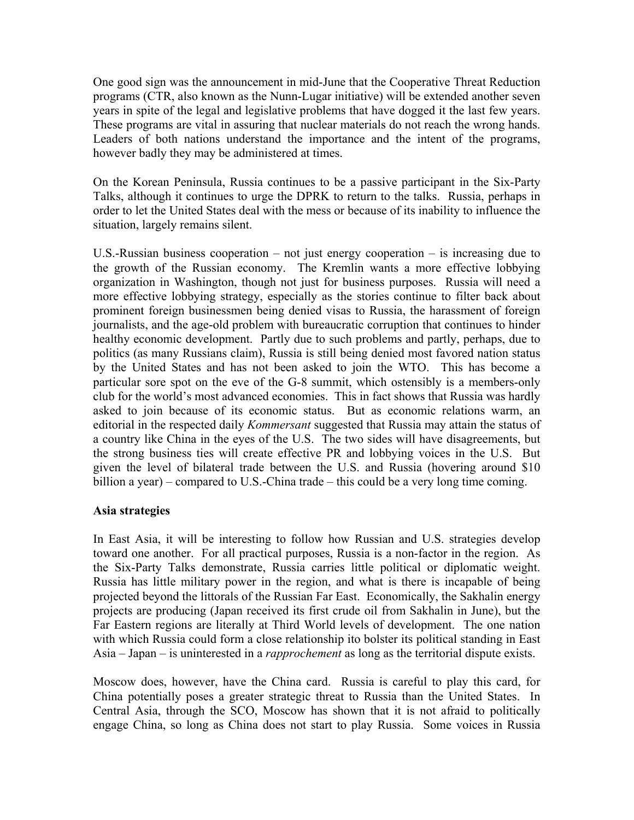One good sign was the announcement in mid-June that the Cooperative Threat Reduction programs (CTR, also known as the Nunn-Lugar initiative) will be extended another seven years in spite of the legal and legislative problems that have dogged it the last few years. These programs are vital in assuring that nuclear materials do not reach the wrong hands. Leaders of both nations understand the importance and the intent of the programs, however badly they may be administered at times.

On the Korean Peninsula, Russia continues to be a passive participant in the Six-Party Talks, although it continues to urge the DPRK to return to the talks. Russia, perhaps in order to let the United States deal with the mess or because of its inability to influence the situation, largely remains silent.

U.S.-Russian business cooperation – not just energy cooperation – is increasing due to the growth of the Russian economy. The Kremlin wants a more effective lobbying organization in Washington, though not just for business purposes. Russia will need a more effective lobbying strategy, especially as the stories continue to filter back about prominent foreign businessmen being denied visas to Russia, the harassment of foreign journalists, and the age-old problem with bureaucratic corruption that continues to hinder healthy economic development. Partly due to such problems and partly, perhaps, due to politics (as many Russians claim), Russia is still being denied most favored nation status by the United States and has not been asked to join the WTO. This has become a particular sore spot on the eve of the G-8 summit, which ostensibly is a members-only club for the world's most advanced economies. This in fact shows that Russia was hardly asked to join because of its economic status. But as economic relations warm, an editorial in the respected daily *Kommersant* suggested that Russia may attain the status of a country like China in the eyes of the U.S. The two sides will have disagreements, but the strong business ties will create effective PR and lobbying voices in the U.S. But given the level of bilateral trade between the U.S. and Russia (hovering around \$10 billion a year) – compared to U.S.-China trade – this could be a very long time coming.

#### **Asia strategies**

In East Asia, it will be interesting to follow how Russian and U.S. strategies develop toward one another. For all practical purposes, Russia is a non-factor in the region. As the Six-Party Talks demonstrate, Russia carries little political or diplomatic weight. Russia has little military power in the region, and what is there is incapable of being projected beyond the littorals of the Russian Far East. Economically, the Sakhalin energy projects are producing (Japan received its first crude oil from Sakhalin in June), but the Far Eastern regions are literally at Third World levels of development. The one nation with which Russia could form a close relationship ito bolster its political standing in East Asia – Japan – is uninterested in a *rapprochement* as long as the territorial dispute exists.

Moscow does, however, have the China card. Russia is careful to play this card, for China potentially poses a greater strategic threat to Russia than the United States. In Central Asia, through the SCO, Moscow has shown that it is not afraid to politically engage China, so long as China does not start to play Russia. Some voices in Russia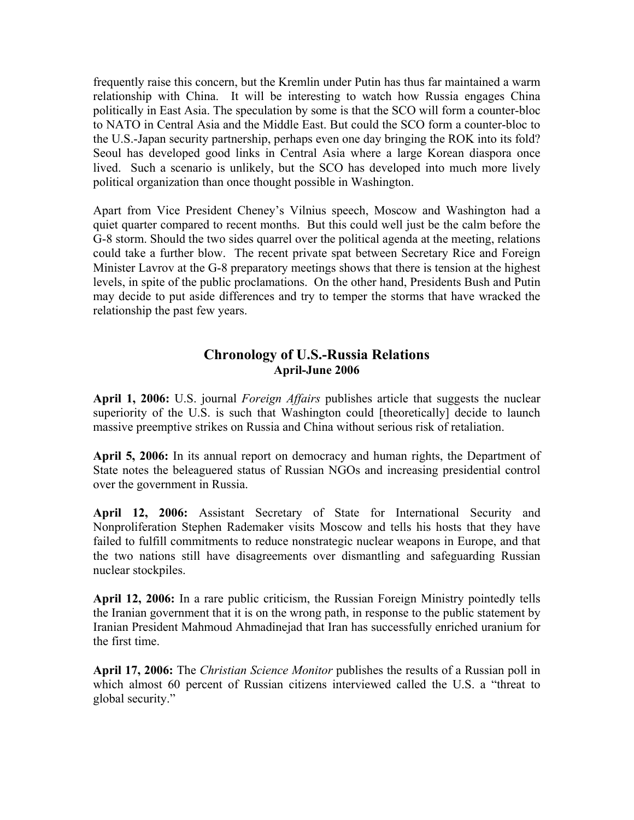frequently raise this concern, but the Kremlin under Putin has thus far maintained a warm relationship with China. It will be interesting to watch how Russia engages China politically in East Asia. The speculation by some is that the SCO will form a counter-bloc to NATO in Central Asia and the Middle East. But could the SCO form a counter-bloc to the U.S.-Japan security partnership, perhaps even one day bringing the ROK into its fold? Seoul has developed good links in Central Asia where a large Korean diaspora once lived. Such a scenario is unlikely, but the SCO has developed into much more lively political organization than once thought possible in Washington.

Apart from Vice President Cheney's Vilnius speech, Moscow and Washington had a quiet quarter compared to recent months. But this could well just be the calm before the G-8 storm. Should the two sides quarrel over the political agenda at the meeting, relations could take a further blow. The recent private spat between Secretary Rice and Foreign Minister Lavrov at the G-8 preparatory meetings shows that there is tension at the highest levels, in spite of the public proclamations. On the other hand, Presidents Bush and Putin may decide to put aside differences and try to temper the storms that have wracked the relationship the past few years.

### **Chronology of U.S.-Russia Relations April-June 2006**

**April 1, 2006:** U.S. journal *Foreign Affairs* publishes article that suggests the nuclear superiority of the U.S. is such that Washington could [theoretically] decide to launch massive preemptive strikes on Russia and China without serious risk of retaliation.

**April 5, 2006:** In its annual report on democracy and human rights, the Department of State notes the beleaguered status of Russian NGOs and increasing presidential control over the government in Russia.

**April 12, 2006:** Assistant Secretary of State for International Security and Nonproliferation Stephen Rademaker visits Moscow and tells his hosts that they have failed to fulfill commitments to reduce nonstrategic nuclear weapons in Europe, and that the two nations still have disagreements over dismantling and safeguarding Russian nuclear stockpiles.

**April 12, 2006:** In a rare public criticism, the Russian Foreign Ministry pointedly tells the Iranian government that it is on the wrong path, in response to the public statement by Iranian President Mahmoud Ahmadinejad that Iran has successfully enriched uranium for the first time.

**April 17, 2006:** The *Christian Science Monitor* publishes the results of a Russian poll in which almost 60 percent of Russian citizens interviewed called the U.S. a "threat to global security."